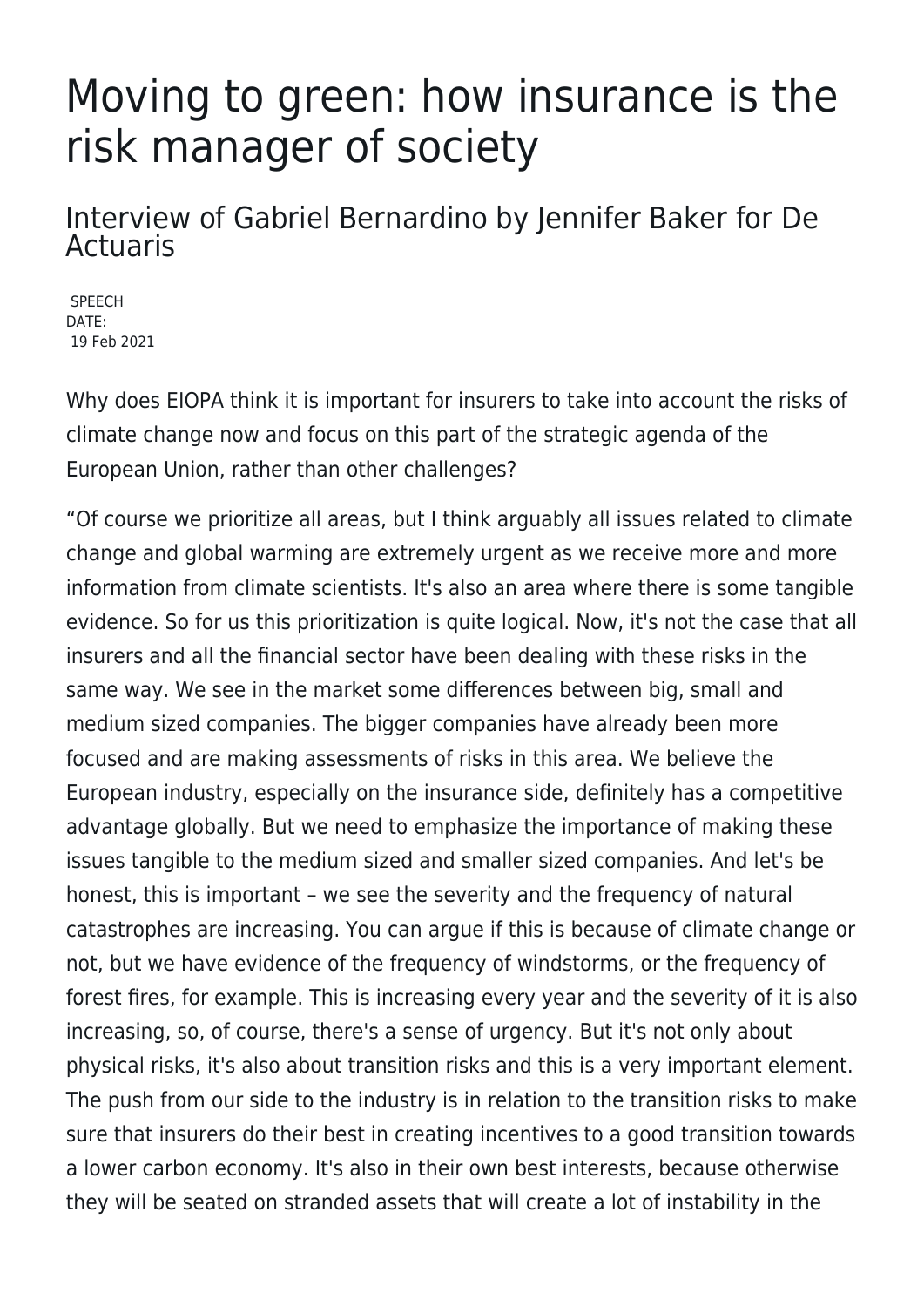## Moving to green: how insurance is the risk manager of society

## Interview of Gabriel Bernardino by Jennifer Baker for De Actuaris

SPEECH DATE: 19 Feb 2021

Why does EIOPA think it is important for insurers to take into account the risks of climate change now and focus on this part of the strategic agenda of the European Union, rather than other challenges?

"Of course we prioritize all areas, but I think arguably all issues related to climate change and global warming are extremely urgent as we receive more and more information from climate scientists. It's also an area where there is some tangible evidence. So for us this prioritization is quite logical. Now, it's not the case that all insurers and all the financial sector have been dealing with these risks in the same way. We see in the market some differences between big, small and medium sized companies. The bigger companies have already been more focused and are making assessments of risks in this area. We believe the European industry, especially on the insurance side, definitely has a competitive advantage globally. But we need to emphasize the importance of making these issues tangible to the medium sized and smaller sized companies. And let's be honest, this is important – we see the severity and the frequency of natural catastrophes are increasing. You can argue if this is because of climate change or not, but we have evidence of the frequency of windstorms, or the frequency of forest fires, for example. This is increasing every year and the severity of it is also increasing, so, of course, there's a sense of urgency. But it's not only about physical risks, it's also about transition risks and this is a very important element. The push from our side to the industry is in relation to the transition risks to make sure that insurers do their best in creating incentives to a good transition towards a lower carbon economy. It's also in their own best interests, because otherwise they will be seated on stranded assets that will create a lot of instability in the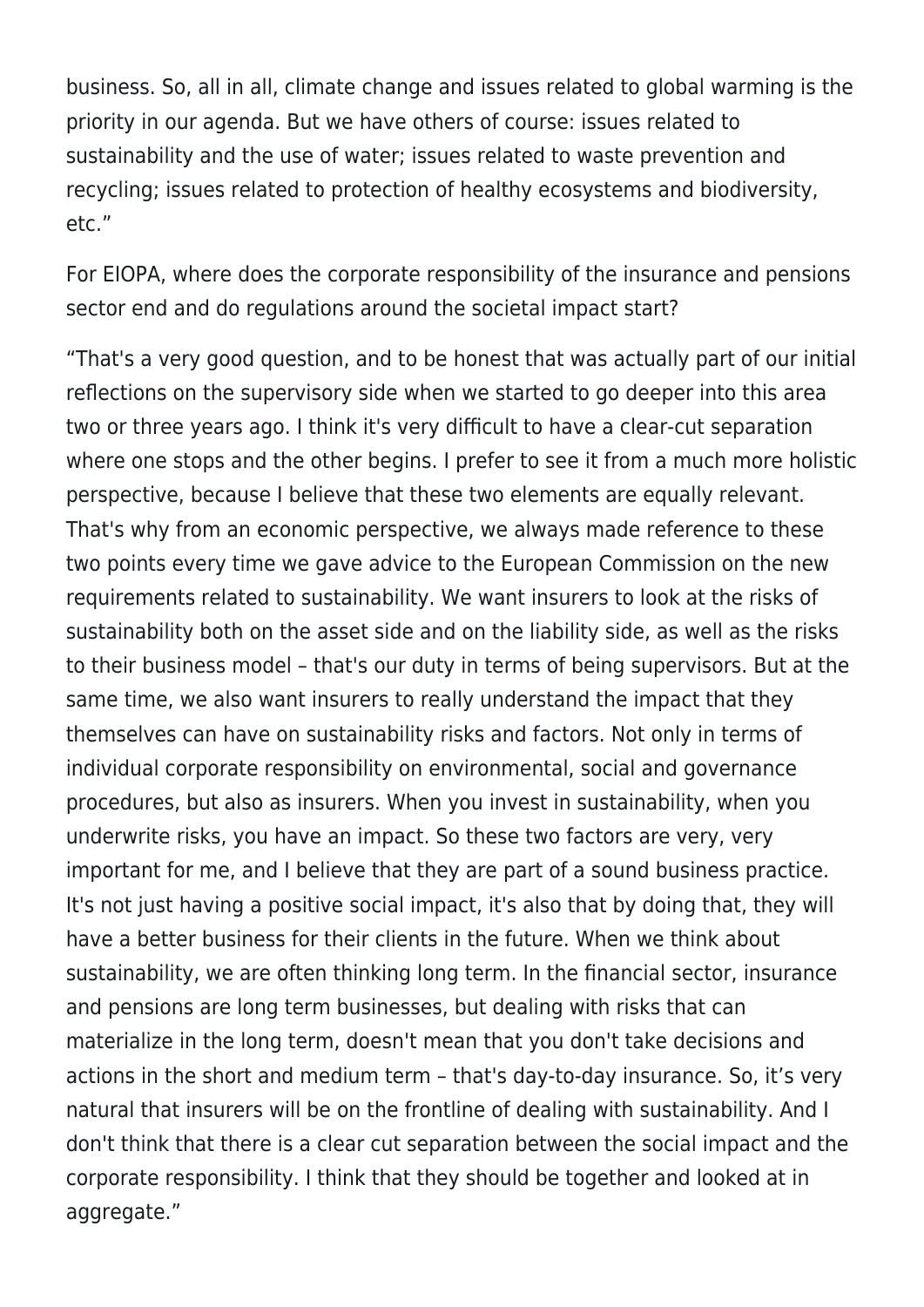business. So, all in all, climate change and issues related to global warming is the priority in our agenda. But we have others of course: issues related to sustainability and the use of water; issues related to waste prevention and recycling; issues related to protection of healthy ecosystems and biodiversity, etc."

For EIOPA, where does the corporate responsibility of the insurance and pensions sector end and do regulations around the societal impact start?

"That's a very good question, and to be honest that was actually part of our initial reflections on the supervisory side when we started to go deeper into this area two or three years ago. I think it's very difficult to have a clear-cut separation where one stops and the other begins. I prefer to see it from a much more holistic perspective, because I believe that these two elements are equally relevant. That's why from an economic perspective, we always made reference to these two points every time we gave advice to the European Commission on the new requirements related to sustainability. We want insurers to look at the risks of sustainability both on the asset side and on the liability side, as well as the risks to their business model – that's our duty in terms of being supervisors. But at the same time, we also want insurers to really understand the impact that they themselves can have on sustainability risks and factors. Not only in terms of individual corporate responsibility on environmental, social and governance procedures, but also as insurers. When you invest in sustainability, when you underwrite risks, you have an impact. So these two factors are very, very important for me, and I believe that they are part of a sound business practice. It's not just having a positive social impact, it's also that by doing that, they will have a better business for their clients in the future. When we think about sustainability, we are often thinking long term. In the financial sector, insurance and pensions are long term businesses, but dealing with risks that can materialize in the long term, doesn't mean that you don't take decisions and actions in the short and medium term – that's day-to-day insurance. So, it's very natural that insurers will be on the frontline of dealing with sustainability. And I don't think that there is a clear cut separation between the social impact and the corporate responsibility. I think that they should be together and looked at in aggregate."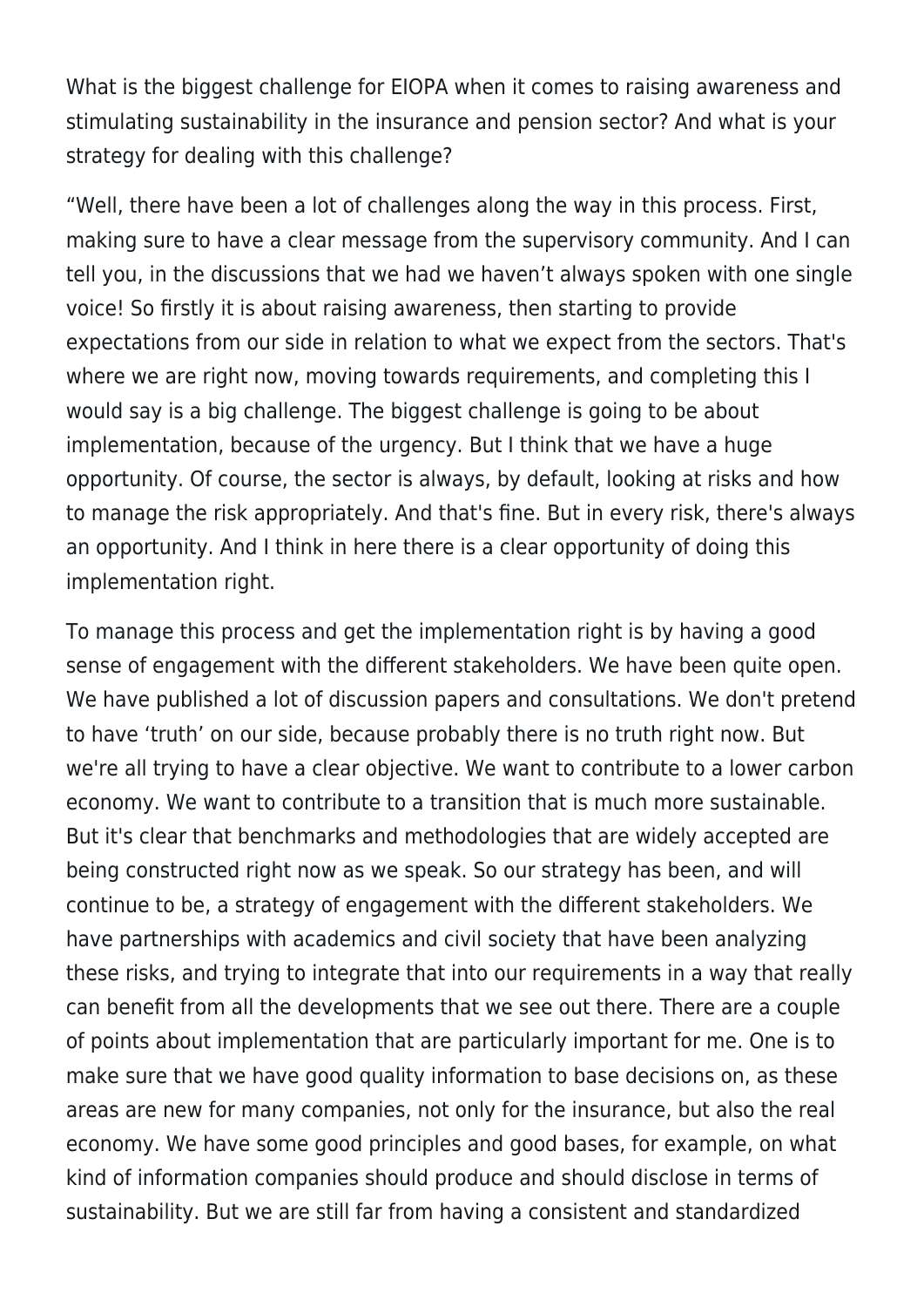What is the biggest challenge for EIOPA when it comes to raising awareness and stimulating sustainability in the insurance and pension sector? And what is your strategy for dealing with this challenge?

"Well, there have been a lot of challenges along the way in this process. First, making sure to have a clear message from the supervisory community. And I can tell you, in the discussions that we had we haven't always spoken with one single voice! So firstly it is about raising awareness, then starting to provide expectations from our side in relation to what we expect from the sectors. That's where we are right now, moving towards requirements, and completing this I would say is a big challenge. The biggest challenge is going to be about implementation, because of the urgency. But I think that we have a huge opportunity. Of course, the sector is always, by default, looking at risks and how to manage the risk appropriately. And that's fine. But in every risk, there's always an opportunity. And I think in here there is a clear opportunity of doing this implementation right.

To manage this process and get the implementation right is by having a good sense of engagement with the different stakeholders. We have been quite open. We have published a lot of discussion papers and consultations. We don't pretend to have 'truth' on our side, because probably there is no truth right now. But we're all trying to have a clear objective. We want to contribute to a lower carbon economy. We want to contribute to a transition that is much more sustainable. But it's clear that benchmarks and methodologies that are widely accepted are being constructed right now as we speak. So our strategy has been, and will continue to be, a strategy of engagement with the different stakeholders. We have partnerships with academics and civil society that have been analyzing these risks, and trying to integrate that into our requirements in a way that really can benefit from all the developments that we see out there. There are a couple of points about implementation that are particularly important for me. One is to make sure that we have good quality information to base decisions on, as these areas are new for many companies, not only for the insurance, but also the real economy. We have some good principles and good bases, for example, on what kind of information companies should produce and should disclose in terms of sustainability. But we are still far from having a consistent and standardized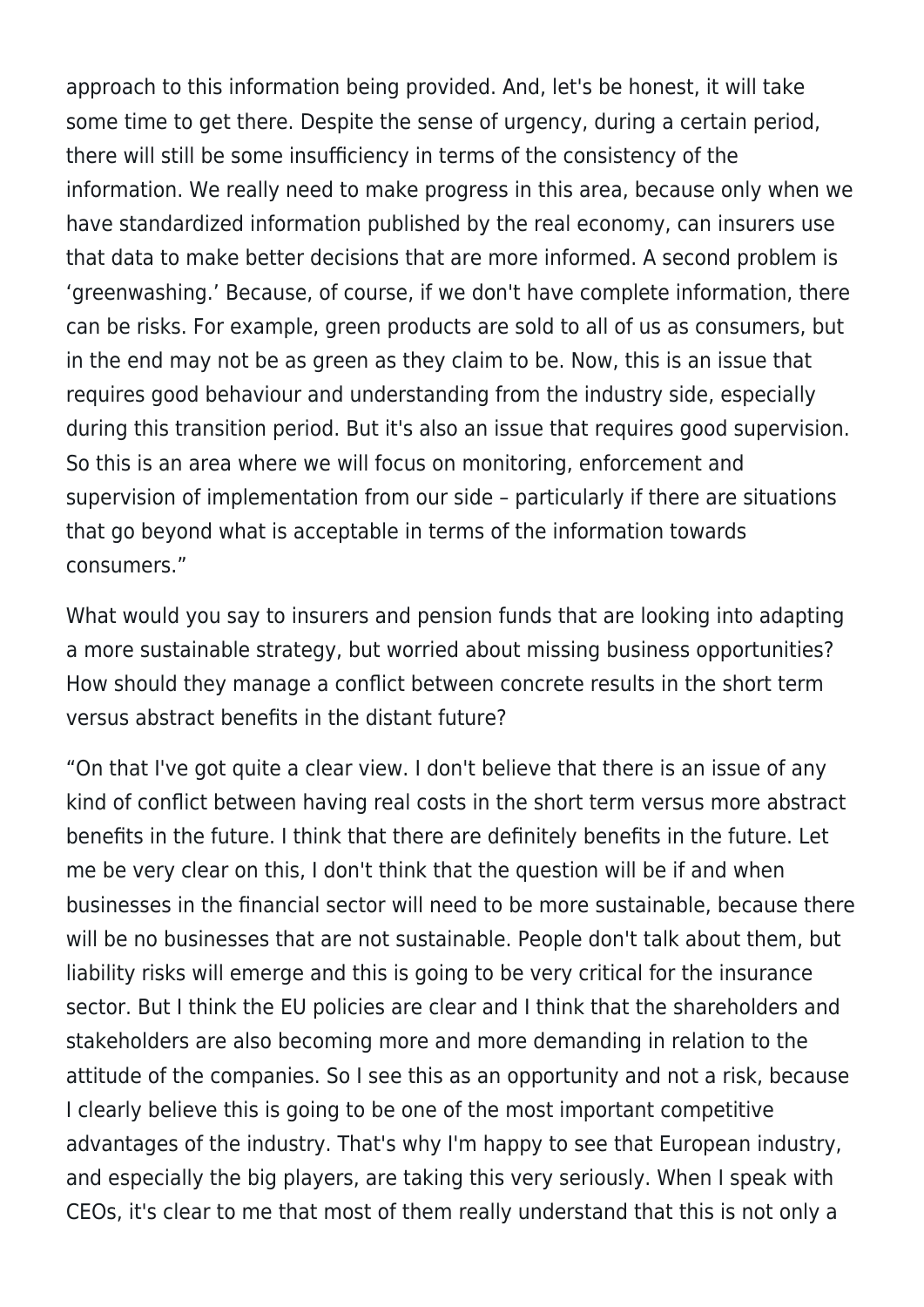approach to this information being provided. And, let's be honest, it will take some time to get there. Despite the sense of urgency, during a certain period, there will still be some insufficiency in terms of the consistency of the information. We really need to make progress in this area, because only when we have standardized information published by the real economy, can insurers use that data to make better decisions that are more informed. A second problem is 'greenwashing.' Because, of course, if we don't have complete information, there can be risks. For example, green products are sold to all of us as consumers, but in the end may not be as green as they claim to be. Now, this is an issue that requires good behaviour and understanding from the industry side, especially during this transition period. But it's also an issue that requires good supervision. So this is an area where we will focus on monitoring, enforcement and supervision of implementation from our side – particularly if there are situations that go beyond what is acceptable in terms of the information towards consumers."

What would you say to insurers and pension funds that are looking into adapting a more sustainable strategy, but worried about missing business opportunities? How should they manage a conflict between concrete results in the short term versus abstract benefits in the distant future?

"On that I've got quite a clear view. I don't believe that there is an issue of any kind of conflict between having real costs in the short term versus more abstract benefits in the future. I think that there are definitely benefits in the future. Let me be very clear on this, I don't think that the question will be if and when businesses in the financial sector will need to be more sustainable, because there will be no businesses that are not sustainable. People don't talk about them, but liability risks will emerge and this is going to be very critical for the insurance sector. But I think the EU policies are clear and I think that the shareholders and stakeholders are also becoming more and more demanding in relation to the attitude of the companies. So I see this as an opportunity and not a risk, because I clearly believe this is going to be one of the most important competitive advantages of the industry. That's why I'm happy to see that European industry, and especially the big players, are taking this very seriously. When I speak with CEOs, it's clear to me that most of them really understand that this is not only a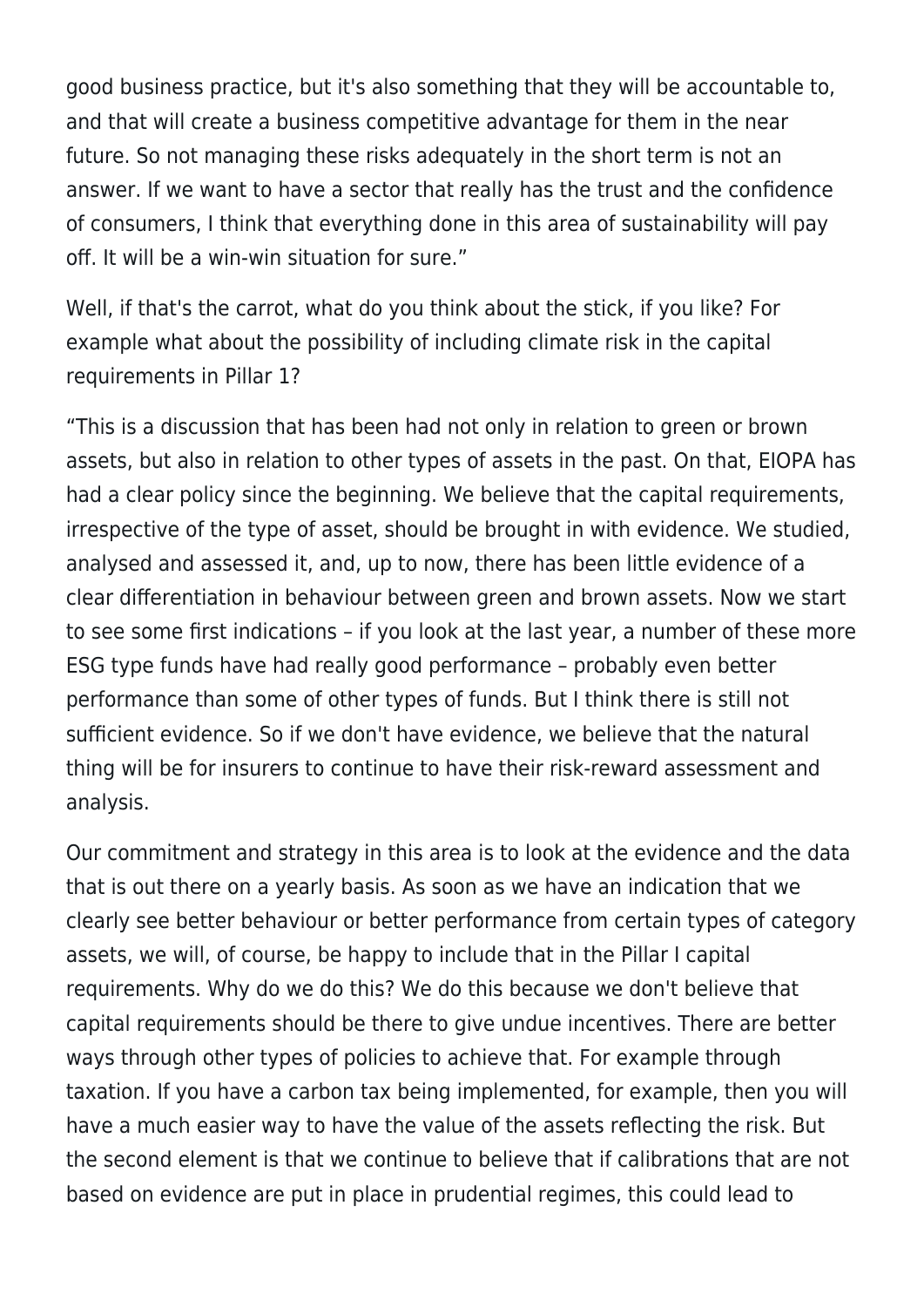good business practice, but it's also something that they will be accountable to, and that will create a business competitive advantage for them in the near future. So not managing these risks adequately in the short term is not an answer. If we want to have a sector that really has the trust and the confidence of consumers, I think that everything done in this area of sustainability will pay off. It will be a win-win situation for sure."

Well, if that's the carrot, what do you think about the stick, if you like? For example what about the possibility of including climate risk in the capital requirements in Pillar 1?

"This is a discussion that has been had not only in relation to green or brown assets, but also in relation to other types of assets in the past. On that, EIOPA has had a clear policy since the beginning. We believe that the capital requirements, irrespective of the type of asset, should be brought in with evidence. We studied, analysed and assessed it, and, up to now, there has been little evidence of a clear differentiation in behaviour between green and brown assets. Now we start to see some first indications – if you look at the last year, a number of these more ESG type funds have had really good performance – probably even better performance than some of other types of funds. But I think there is still not sufficient evidence. So if we don't have evidence, we believe that the natural thing will be for insurers to continue to have their risk-reward assessment and analysis.

Our commitment and strategy in this area is to look at the evidence and the data that is out there on a yearly basis. As soon as we have an indication that we clearly see better behaviour or better performance from certain types of category assets, we will, of course, be happy to include that in the Pillar I capital requirements. Why do we do this? We do this because we don't believe that capital requirements should be there to give undue incentives. There are better ways through other types of policies to achieve that. For example through taxation. If you have a carbon tax being implemented, for example, then you will have a much easier way to have the value of the assets reflecting the risk. But the second element is that we continue to believe that if calibrations that are not based on evidence are put in place in prudential regimes, this could lead to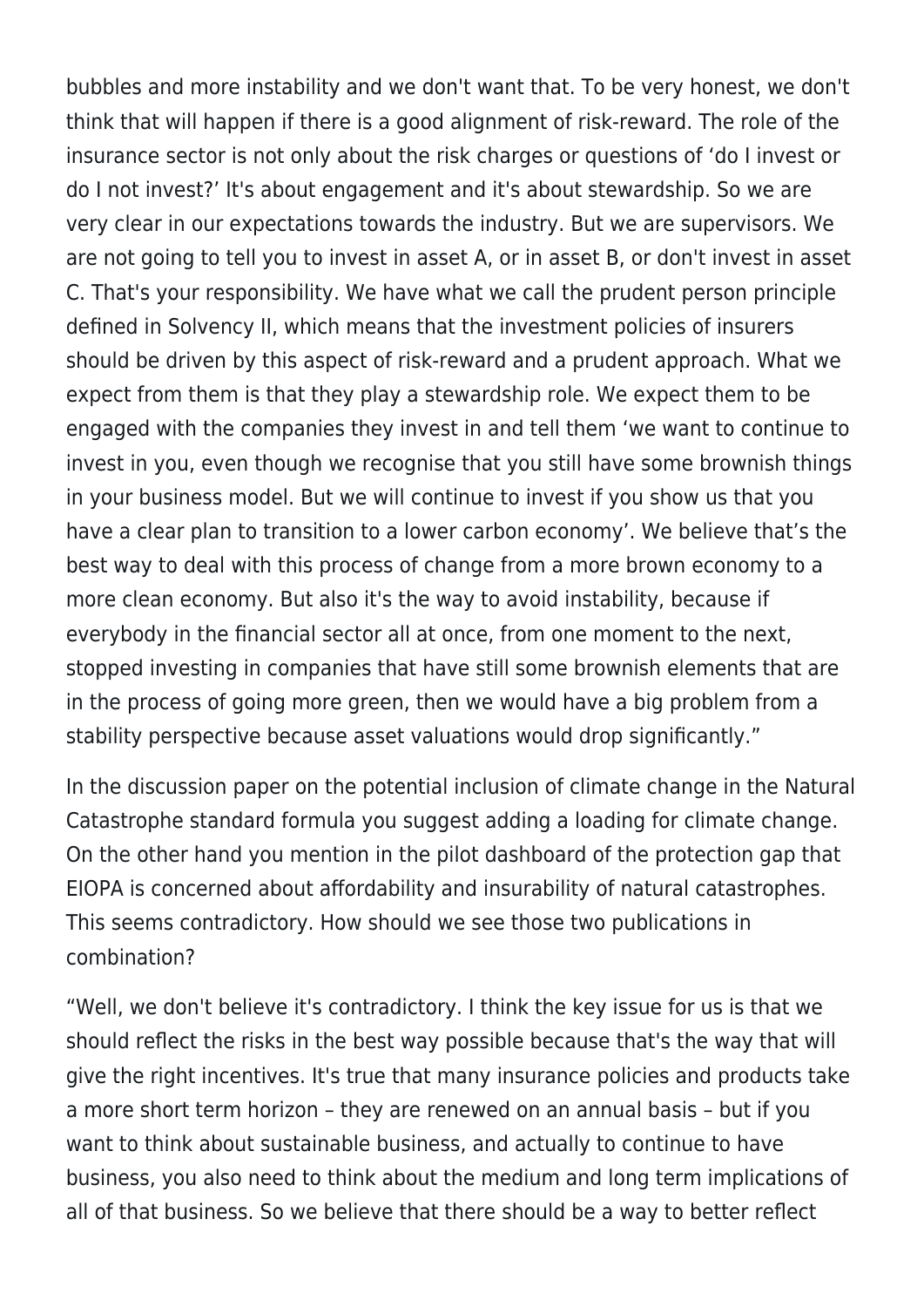bubbles and more instability and we don't want that. To be very honest, we don't think that will happen if there is a good alignment of risk-reward. The role of the insurance sector is not only about the risk charges or questions of 'do I invest or do I not invest?' It's about engagement and it's about stewardship. So we are very clear in our expectations towards the industry. But we are supervisors. We are not going to tell you to invest in asset A, or in asset B, or don't invest in asset C. That's your responsibility. We have what we call the prudent person principle defined in Solvency II, which means that the investment policies of insurers should be driven by this aspect of risk-reward and a prudent approach. What we expect from them is that they play a stewardship role. We expect them to be engaged with the companies they invest in and tell them 'we want to continue to invest in you, even though we recognise that you still have some brownish things in your business model. But we will continue to invest if you show us that you have a clear plan to transition to a lower carbon economy'. We believe that's the best way to deal with this process of change from a more brown economy to a more clean economy. But also it's the way to avoid instability, because if everybody in the financial sector all at once, from one moment to the next, stopped investing in companies that have still some brownish elements that are in the process of going more green, then we would have a big problem from a stability perspective because asset valuations would drop significantly."

In the discussion paper on the potential inclusion of climate change in the Natural Catastrophe standard formula you suggest adding a loading for climate change. On the other hand you mention in the pilot dashboard of the protection gap that EIOPA is concerned about affordability and insurability of natural catastrophes. This seems contradictory. How should we see those two publications in combination?

"Well, we don't believe it's contradictory. I think the key issue for us is that we should reflect the risks in the best way possible because that's the way that will give the right incentives. It's true that many insurance policies and products take a more short term horizon – they are renewed on an annual basis – but if you want to think about sustainable business, and actually to continue to have business, you also need to think about the medium and long term implications of all of that business. So we believe that there should be a way to better reflect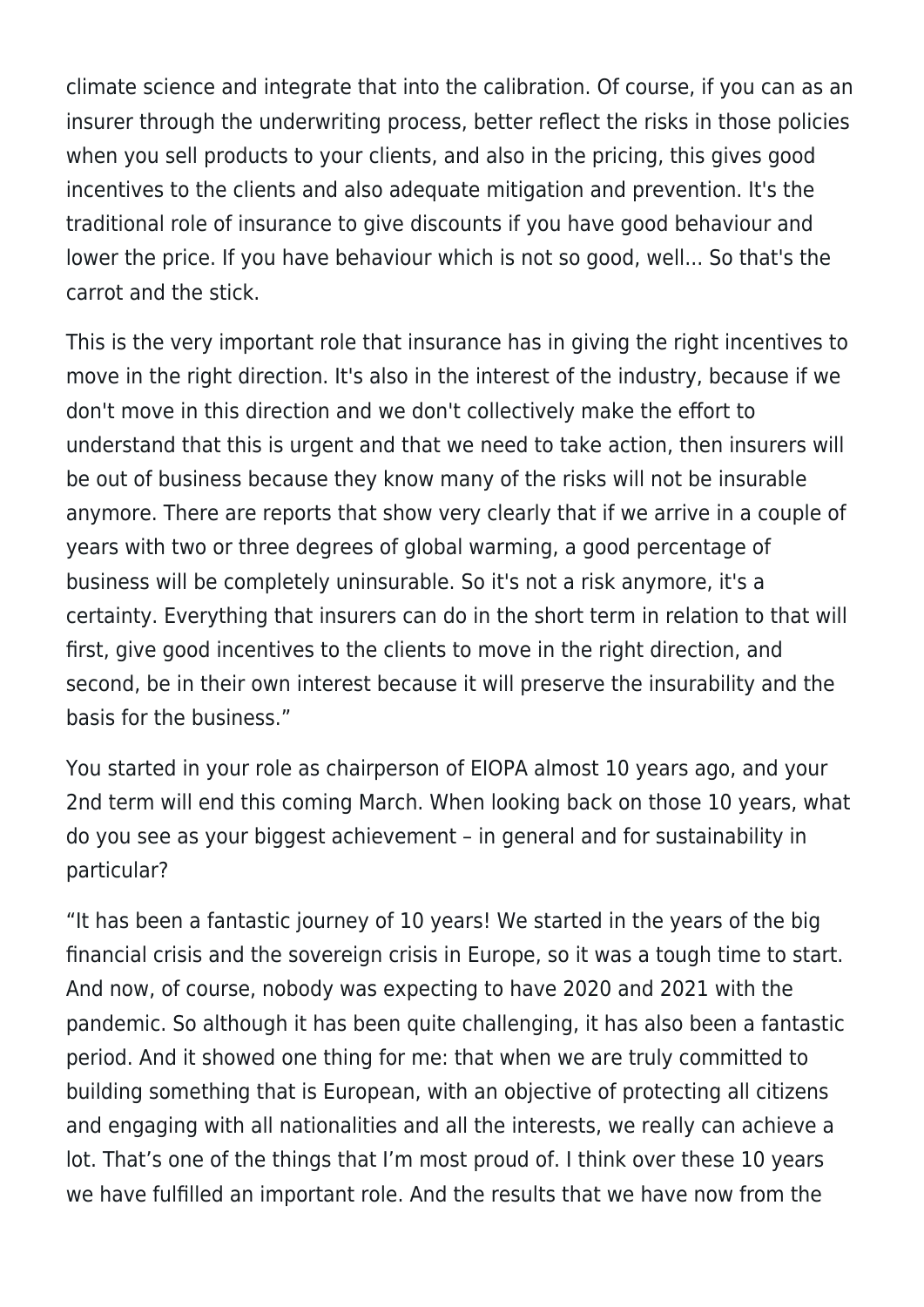climate science and integrate that into the calibration. Of course, if you can as an insurer through the underwriting process, better reflect the risks in those policies when you sell products to your clients, and also in the pricing, this gives good incentives to the clients and also adequate mitigation and prevention. It's the traditional role of insurance to give discounts if you have good behaviour and lower the price. If you have behaviour which is not so good, well... So that's the carrot and the stick.

This is the very important role that insurance has in giving the right incentives to move in the right direction. It's also in the interest of the industry, because if we don't move in this direction and we don't collectively make the effort to understand that this is urgent and that we need to take action, then insurers will be out of business because they know many of the risks will not be insurable anymore. There are reports that show very clearly that if we arrive in a couple of years with two or three degrees of global warming, a good percentage of business will be completely uninsurable. So it's not a risk anymore, it's a certainty. Everything that insurers can do in the short term in relation to that will first, give good incentives to the clients to move in the right direction, and second, be in their own interest because it will preserve the insurability and the basis for the business."

You started in your role as chairperson of EIOPA almost 10 years ago, and your 2nd term will end this coming March. When looking back on those 10 years, what do you see as your biggest achievement – in general and for sustainability in particular?

"It has been a fantastic journey of 10 years! We started in the years of the big financial crisis and the sovereign crisis in Europe, so it was a tough time to start. And now, of course, nobody was expecting to have 2020 and 2021 with the pandemic. So although it has been quite challenging, it has also been a fantastic period. And it showed one thing for me: that when we are truly committed to building something that is European, with an objective of protecting all citizens and engaging with all nationalities and all the interests, we really can achieve a lot. That's one of the things that I'm most proud of. I think over these 10 years we have fulfilled an important role. And the results that we have now from the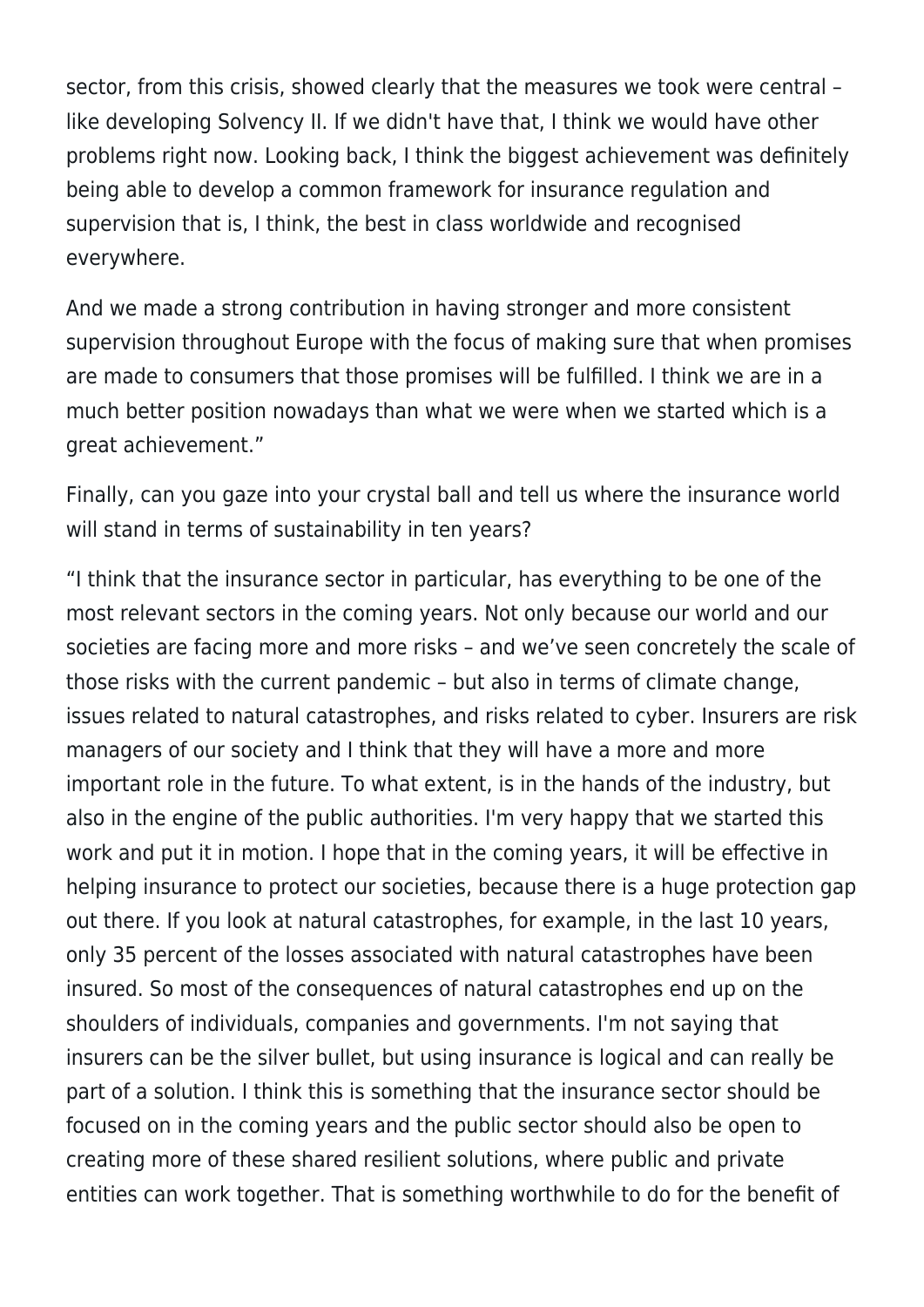sector, from this crisis, showed clearly that the measures we took were central – like developing Solvency II. If we didn't have that, I think we would have other problems right now. Looking back, I think the biggest achievement was definitely being able to develop a common framework for insurance regulation and supervision that is, I think, the best in class worldwide and recognised everywhere.

And we made a strong contribution in having stronger and more consistent supervision throughout Europe with the focus of making sure that when promises are made to consumers that those promises will be fulfilled. I think we are in a much better position nowadays than what we were when we started which is a great achievement."

Finally, can you gaze into your crystal ball and tell us where the insurance world will stand in terms of sustainability in ten years?

"I think that the insurance sector in particular, has everything to be one of the most relevant sectors in the coming years. Not only because our world and our societies are facing more and more risks – and we've seen concretely the scale of those risks with the current pandemic – but also in terms of climate change, issues related to natural catastrophes, and risks related to cyber. Insurers are risk managers of our society and I think that they will have a more and more important role in the future. To what extent, is in the hands of the industry, but also in the engine of the public authorities. I'm very happy that we started this work and put it in motion. I hope that in the coming years, it will be effective in helping insurance to protect our societies, because there is a huge protection gap out there. If you look at natural catastrophes, for example, in the last 10 years, only 35 percent of the losses associated with natural catastrophes have been insured. So most of the consequences of natural catastrophes end up on the shoulders of individuals, companies and governments. I'm not saying that insurers can be the silver bullet, but using insurance is logical and can really be part of a solution. I think this is something that the insurance sector should be focused on in the coming years and the public sector should also be open to creating more of these shared resilient solutions, where public and private entities can work together. That is something worthwhile to do for the benefit of